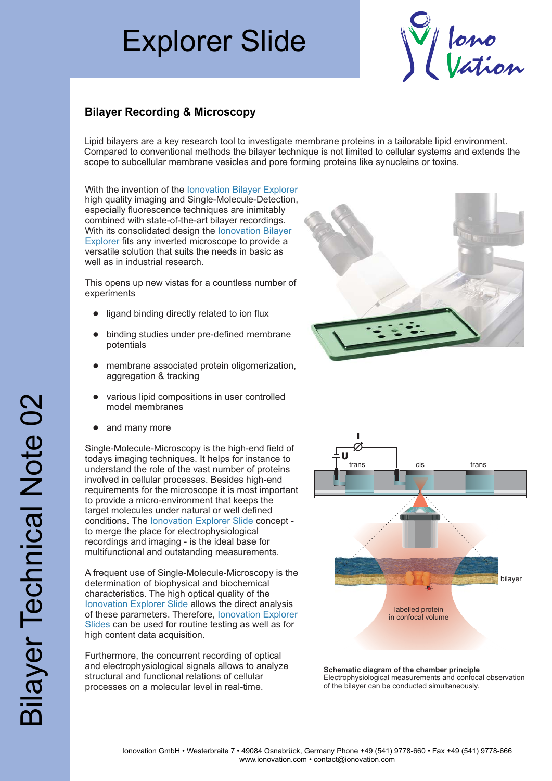## Explorer Slide



## **Bilayer Recording & Microscopy**

Lipid bilayers are a key research tool to investigate membrane proteins in a tailorable lipid environment. Compared to conventional methods the bilayer technique is not limited to cellular systems and extends the scope to subcellular membrane vesicles and pore forming proteins like synucleins or toxins.

With the invention of the lonovation Bilayer Explorer high quality imaging and Single-Molecule-Detection, especially fluorescence techniques are inimitably combined with state-of-the-art bilayer recordings. With its consolidated design the lonovation Bilayer Explorer fits any inverted microscope to provide a versatile solution that suits the needs in basic as well as in industrial research.

This opens up new vistas for a countless number of experiments

- ligand binding directly related to ion flux
- binding studies under pre-defined membrane potentials  $\bullet$
- membrane associated protein oligomerization, aggregation & tracking  $\bullet$
- various lipid compositions in user controlled model membranes  $\bullet$
- and many more  $\bullet$

Single-Molecule-Microscopy is the high-end field of todays imaging techniques. It helps for instance to understand the role of the vast number of proteins involved in cellular processes. Besides high-end requirements for the microscope it is most important to provide a micro-environment that keeps the target molecules under natural or well defined conditions. The lonovation Explorer Slide concept to merge the place for electrophysiological recordings and imaging - is the ideal base for multifunctional and outstanding measurements. • ligand binding directly related to ion flu<br>• binding studies under pre-defined mer<br>potentials<br>• membrane associated protein oligome<br>aggregation & tracking<br>• various lipid compositions in user cont<br>model membranes<br>• and m

A frequent use of Single-Molecule-Microscopy is the determination of biophysical and biochemical characteristics. The high optical quality of the Ionovation Explorer Slide allows the direct analysis of these parameters. Therefore, Ionovation Explorer Slides can be used for routine testing as well as for high content data acquisition.

Furthermore, the concurrent recording of optical and electrophysiological signals allows to analyze structural and functional relations of cellular





**Schematic diagram of the chamber principle** Electrophysiological measurements and confocal observation of the bilayer can be conducted simultaneously.